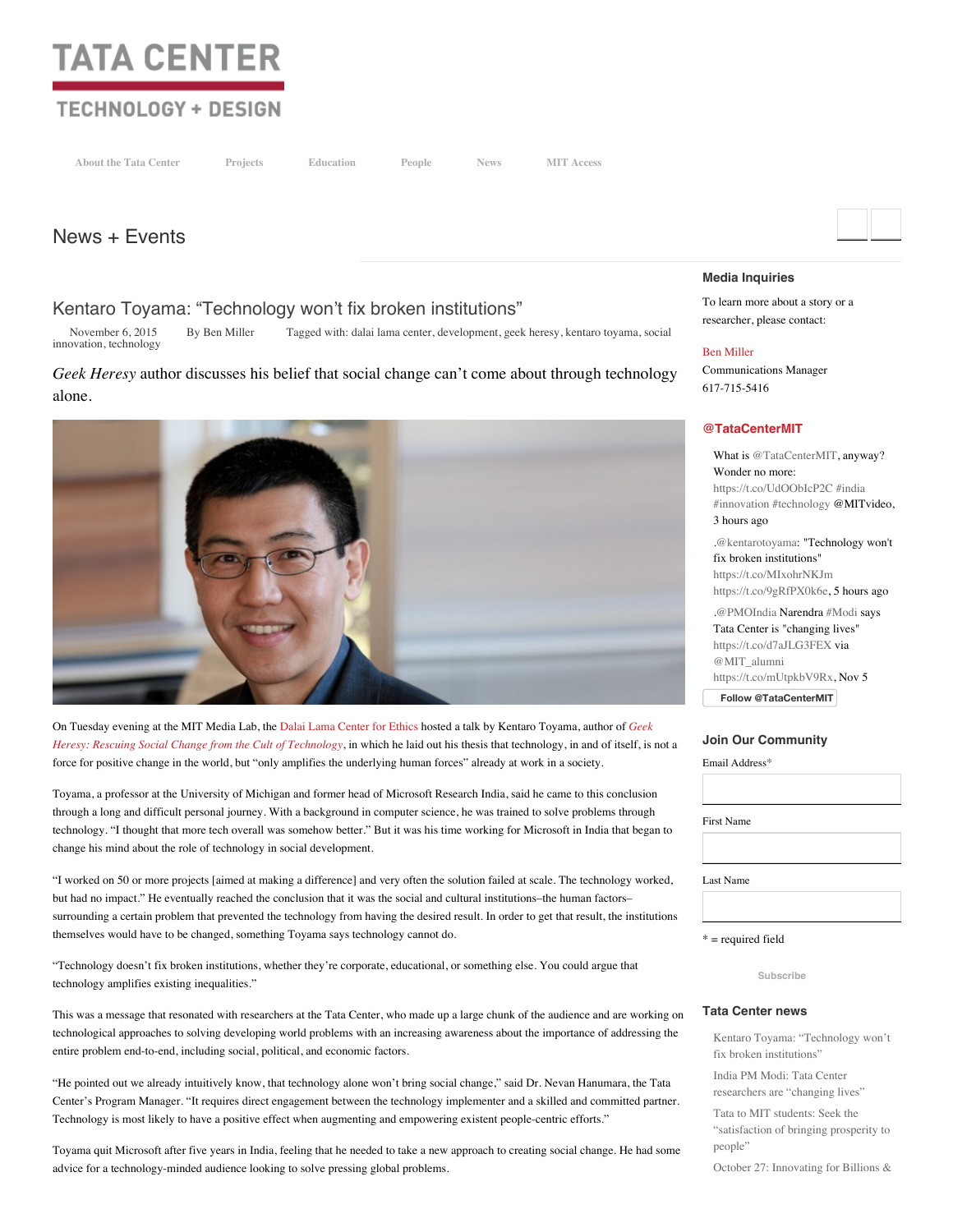# **TATA CENTER**

# **TECHNOLOGY + DESIGN**

**About the Tata [Center](http://tatacenter.mit.edu/mission/) [Projects](http://tatacenter.mit.edu/projects/) [Education](http://tatacenter.mit.edu/education/) [People](http://tatacenter.mit.edu/new-directory/) [News](http://tatacenter.mit.edu/news-and-events/) MIT Access**

# News + [Events](http://tatacenter.mit.edu/india-pm-modi-tata-center-researchers-are-changing-lives/)

# Kentaro Toyama: ["Technology](http://tatacenter.mit.edu/kentaro-toyama-technology-wont-fix-broken-institutions/) won't fix broken institutions"

[November](http://tatacenter.mit.edu/kentaro-toyama-technology-wont-fix-broken-institutions/) 6, 2015 By Ben [Miller](http://tatacenter.mit.edu/author/ben/) Tagged with: dalai lama [center](http://tatacenter.mit.edu/tag/dalai-lama-center/), [developmen](http://tatacenter.mit.edu/tag/development/)[t,](http://tatacenter.mit.edu/tag/social-innovation/) geek [heresy,](http://tatacenter.mit.edu/tag/geek-heresy/) [kentaro](http://tatacenter.mit.edu/tag/kentaro-toyama/) toyama, social innovation, [technology](http://tatacenter.mit.edu/tag/technology/)

## *Geek Heresy* author discusses his belief that social change can't come about through technology alone.



On Tuesday evening at the MIT Media Lab, the Dalai Lama [Center](http://thecenter.mit.edu/) for Ethics hosted a talk by Kentaro Toyama, author of *Geek Heresy: Rescuing Social Change from the Cult of Technology*, in which he laid out his thesis that [technology,](http://www.indiebound.org/book/9781610395281) in and of itself, is not a force for positive change in the world, but "only amplifies the underlying human forces" already at work in a society.

Toyama, a professor at the University of Michigan and former head of Microsoft Research India, said he came to this conclusion through a long and difficult personal journey. With a background in computer science, he was trained to solve problems through technology. "I thought that more tech overall was somehow better." But it was his time working for Microsoft in India that began to change his mind about the role of technology in social development.

"I worked on 50 or more projects [aimed at making a difference] and very often the solution failed at scale. The technology worked, but had no impact." He eventually reached the conclusion that it was the social and cultural institutions–the human factors– surrounding a certain problem that prevented the technology from having the desired result. In order to get that result, the institutions themselves would have to be changed, something Toyama says technology cannot do.

"Technology doesn't fix broken institutions, whether they're corporate, educational, or something else. You could argue that technology amplifies existing inequalities."

This was a message that resonated with researchers at the Tata Center, who made up a large chunk of the audience and are working on technological approaches to solving developing world problems with an increasing awareness about the importance of addressing the entire problem end-to-end, including social, political, and economic factors.

"He pointed out we already intuitively know, that technology alone won't bring social change," said Dr. Nevan Hanumara, the Tata Center's Program Manager. "It requires direct engagement between the technology implementer and a skilled and committed partner. Technology is most likely to have a positive effect when augmenting and empowering existent people-centric efforts."

Toyama quit Microsoft after five years in India, feeling that he needed to take a new approach to creating social change. He had some advice for a technology-minded audience looking to solve pressing global problems.

#### **Media Inquiries**

To learn more about a story or a researcher, please contact:

#### Ben [Miller](mailto:btmiller@mit.edu)

Communications Manager 617-715-5416

#### **[@TataCenterMIT](http://twitter.com/TataCenterMIT)**

What is [@TataCenterMIT,](http://twitter.com/TataCenterMIT) anyway? Wonder no more: <https://t.co/UdOObIcP2C> [#india](http://twitter.com/#!/search?q=%23india) [#innovation](http://twitter.com/#!/search?q=%23innovation) [#technology](http://twitter.com/#!/search?q=%23technology) @MITvideo, 3 hours ago [.@kentarotoyama](http://twitter.com/kentarotoyama): "Technology won't fix broken institutions" <https://t.co/MIxohrNKJm> <https://t.co/9gRfPX0k6e>, 5 hours ago [.@PMOIndia](http://twitter.com/PMOIndia) Narendra [#Modi](http://twitter.com/#!/search?q=%23Modi) says Tata Center is "changing lives"

<https://t.co/d7aJLG3FEX> via [@MIT\\_alumni](http://twitter.com/MIT_alumni) [https://t.co/mUtpkbV9Rx,](https://t.co/mUtpkbV9Rx) Nov 5

**Follow [@TataCenterMIT](https://twitter.com/intent/follow?original_referer=http%3A%2F%2Ftatacenter.mit.edu%2Fkentaro-toyama-technology-wont-fix-broken-institutions%2F&ref_src=twsrc%5Etfw®ion=follow_link&screen_name=TataCenterMIT&tw_p=followbutton)**

#### **Join Our Community**

Email Address\*

First Name

Last Name

\* = required field

**Subscribe**

#### **Tata Center news**

Kentaro Toyama: ["Technology](http://tatacenter.mit.edu/kentaro-toyama-technology-wont-fix-broken-institutions/) won't fix broken institutions"

India PM Modi: Tata Center [researchers](http://tatacenter.mit.edu/india-pm-modi-tata-center-researchers-are-changing-lives/) are "changing lives"

Tata to MIT students: Seek the ["satisfaction](http://tatacenter.mit.edu/tata-to-mit-students-seek-the-satisfaction-of-bringing-prosperity-to-people/) of bringing prosperity to people"

October 27: [Innovating](http://tatacenter.mit.edu/october-27-innovating-for-billions-kumbhmit/) for Billions &